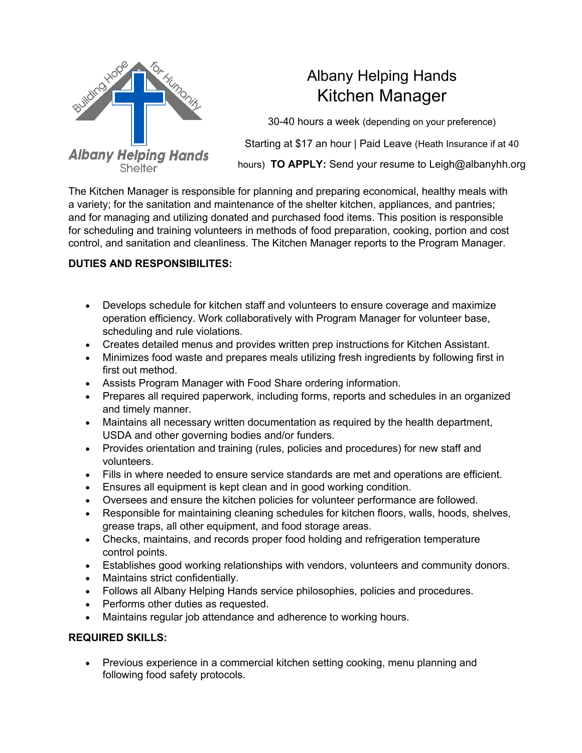

## Albany Helping Hands Kitchen Manager

30-40 hours a week (depending on your preference) Starting at \$17 an hour | Paid Leave (Heath Insurance if at 40 hours) **TO APPLY:** Send your resume to Leigh@albanyhh.org

The Kitchen Manager is responsible for planning and preparing economical, healthy meals with a variety; for the sanitation and maintenance of the shelter kitchen, appliances, and pantries; and for managing and utilizing donated and purchased food items. This position is responsible for scheduling and training volunteers in methods of food preparation, cooking, portion and cost control, and sanitation and cleanliness. The Kitchen Manager reports to the Program Manager.

## **DUTIES AND RESPONSIBILITES:**

- Develops schedule for kitchen staff and volunteers to ensure coverage and maximize operation efficiency. Work collaboratively with Program Manager for volunteer base, scheduling and rule violations.
- Creates detailed menus and provides written prep instructions for Kitchen Assistant.
- Minimizes food waste and prepares meals utilizing fresh ingredients by following first in first out method.
- Assists Program Manager with Food Share ordering information.
- Prepares all required paperwork, including forms, reports and schedules in an organized and timely manner.
- Maintains all necessary written documentation as required by the health department, USDA and other governing bodies and/or funders.
- Provides orientation and training (rules, policies and procedures) for new staff and volunteers.
- Fills in where needed to ensure service standards are met and operations are efficient.
- Ensures all equipment is kept clean and in good working condition.
- Oversees and ensure the kitchen policies for volunteer performance are followed.
- Responsible for maintaining cleaning schedules for kitchen floors, walls, hoods, shelves, grease traps, all other equipment, and food storage areas.
- Checks, maintains, and records proper food holding and refrigeration temperature control points.
- Establishes good working relationships with vendors, volunteers and community donors.
- Maintains strict confidentially.
- Follows all Albany Helping Hands service philosophies, policies and procedures.
- Performs other duties as requested.
- Maintains regular job attendance and adherence to working hours.

## **REQUIRED SKILLS:**

• Previous experience in a commercial kitchen setting cooking, menu planning and following food safety protocols.